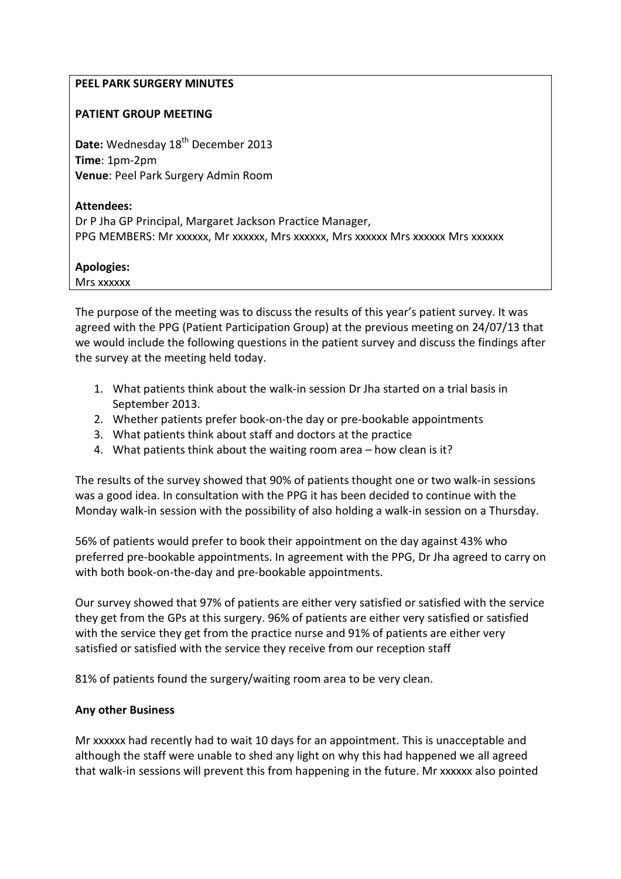## PEEL PARK SURGERY MINUTES

#### PATIENT GROUP MEETING

Date: Wednesday 18<sup>th</sup> December 2013 Time: 1pm-2pm Venue: Peel Park Surgery Admin Room

#### Attendees:

Dr P Jha GP Principal, Margaret Jackson Practice Manager, PPG MEMBERS: Mr xxxxxx, Mr xxxxxx, Mrs xxxxxx, Mrs xxxxxx Mrs xxxxxx Mrs xxxxxx

## Apologies:

Mrs xxxxxx

The purpose of the meeting was to discuss the results of this year's patient survey. It was agreed with the PPG (Patient Participation Group) at the previous meeting on 24/07/13 that we would include the following questions in the patient survey and discuss the findings after the survey at the meeting held today.

- 1. What patients think about the walk-in session Dr Jha started on a trial basis in September 2013.
- 2. Whether patients prefer book-on-the day or pre-bookable appointments
- 3. What patients think about staff and doctors at the practice
- 4. What patients think about the waiting room area how clean is it?

The results of the survey showed that 90% of patients thought one or two walk-in sessions was a good idea. In consultation with the PPG it has been decided to continue with the Monday walk-in session with the possibility of also holding a walk-in session on a Thursday.

56% of patients would prefer to book their appointment on the day against 43% who preferred pre-bookable appointments. In agreement with the PPG, Dr Jha agreed to carry on with both book-on-the-day and pre-bookable appointments.

Our survey showed that 97% of patients are either very satisfied or satisfied with the service they get from the GPs at this surgery. 96% of patients are either very satisfied or satisfied with the service they get from the practice nurse and 91% of patients are either very satisfied or satisfied with the service they receive from our reception staff

81% of patients found the surgery/waiting room area to be very clean.

## Any other Business

Mr xxxxxx had recently had to wait 10 days for an appointment. This is unacceptable and although the staff were unable to shed any light on why this had happened we all agreed that walk-in sessions will prevent this from happening in the future. Mr xxxxxx also pointed